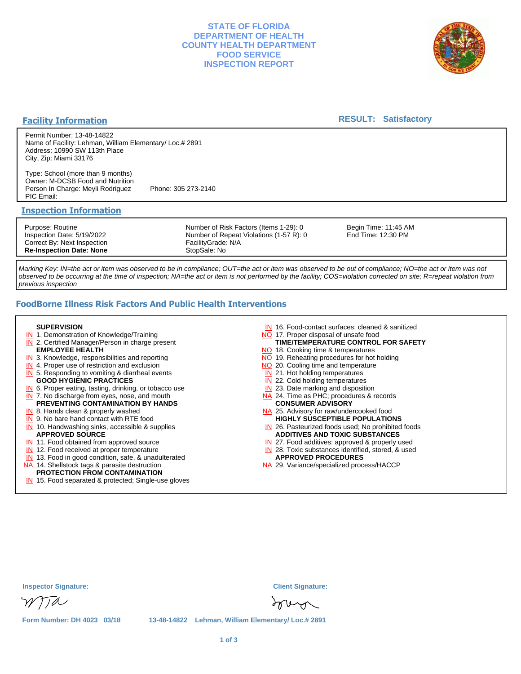## **STATE OF FLORIDA DEPARTMENT OF HEALTH COUNTY HEALTH DEPARTMENT FOOD SERVICE INSPECTION REPORT**



#### **Facility Information**

#### **RESULT: Satisfactory**

Permit Number: 13-48-14822 Name of Facility: Lehman, William Elementary/ Loc.# 2891 Address: 10990 SW 113th Place City, Zip: Miami 33176

Type: School (more than 9 months) Owner: M-DCSB Food and Nutrition Person In Charge: Meyli Rodriguez Phone: 305 273-2140 PIC Email:

#### **Inspection Information**

Purpose: Routine Inspection Date: 5/19/2022 Correct By: Next Inspection **Re-Inspection Date: None**

Number of Risk Factors (Items 1-29): 0 Number of Repeat Violations (1-57 R): 0 FacilityGrade: N/A StopSale: No

Begin Time: 11:45 AM End Time: 12:30 PM

Marking Key: IN=the act or item was observed to be in compliance; OUT=the act or item was observed to be out of compliance; NO=the act or item was not observed to be occurring at the time of inspection; NA=the act or item is not performed by the facility; COS=violation corrected on site; R=repeat violation from previous inspection

# **FoodBorne Illness Risk Factors And Public Health Interventions**

#### **SUPERVISION**

- **IN** 1. Demonstration of Knowledge/Training
- **IN** 2. Certified Manager/Person in charge present **EMPLOYEE HEALTH**
- **IN** 3. Knowledge, responsibilities and reporting
- **IN** 4. Proper use of restriction and exclusion
- **IN** 5. Responding to vomiting & diarrheal events
- **GOOD HYGIENIC PRACTICES**
- **IN** 6. Proper eating, tasting, drinking, or tobacco use **IN** 7. No discharge from eyes, nose, and mouth
- **PREVENTING CONTAMINATION BY HANDS**
- IN 8. Hands clean & properly washed
- **IN** 9. No bare hand contact with RTE food IN 10. Handwashing sinks, accessible & supplies **APPROVED SOURCE**
- **IN** 11. Food obtained from approved source
- **IN** 12. Food received at proper temperature
- IN 13. Food in good condition, safe, & unadulterated
- NA 14. Shellstock tags & parasite destruction

## **PROTECTION FROM CONTAMINATION**

IN 15. Food separated & protected; Single-use gloves

- IN 16. Food-contact surfaces; cleaned & sanitized
- NO 17. Proper disposal of unsafe food
- NO 18. Cooking time & temperatures **TIME/TEMPERATURE CONTROL FOR SAFETY**
- NO 19. Reheating procedures for hot holding
- NO 20. Cooling time and temperature
- IN 21. Hot holding temperatures
- **IN** 22. Cold holding temperatures
- **IN** 23. Date marking and disposition
- NA 24. Time as PHC; procedures & records **CONSUMER ADVISORY**
- NA 25. Advisory for raw/undercooked food **HIGHLY SUSCEPTIBLE POPULATIONS**
- IN 26. Pasteurized foods used; No prohibited foods **ADDITIVES AND TOXIC SUBSTANCES**
- IN 27. Food additives: approved & properly used
- IN 28. Toxic substances identified, stored, & used **APPROVED PROCEDURES**
- NA 29. Variance/specialized process/HACCP

| <b>Inspector Signature:</b> |  | <b>Client Signature:</b>                           |
|-----------------------------|--|----------------------------------------------------|
| WITA                        |  | Inver                                              |
| Form Number: DH 4023 03/18  |  | 13-48-14822 Lehman, William Elementary/ Loc.# 2891 |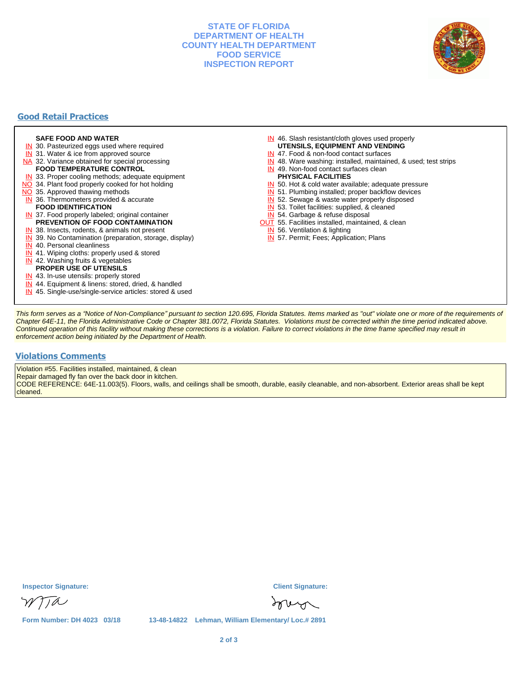## **STATE OF FLORIDA DEPARTMENT OF HEALTH COUNTY HEALTH DEPARTMENT FOOD SERVICE INSPECTION REPORT**



# **Good Retail Practices**

#### **SAFE FOOD AND WATER**

- **IN** 30. Pasteurized eggs used where required
- IN 31. Water & ice from approved source
- NA 32. Variance obtained for special processing
- **FOOD TEMPERATURE CONTROL**
- **IN** 33. Proper cooling methods; adequate equipment
- NO 34. Plant food properly cooked for hot holding
- NO 35. Approved thawing methods
- IN 36. Thermometers provided & accurate **FOOD IDENTIFICATION**
- IN 37. Food properly labeled; original container **PREVENTION OF FOOD CONTAMINATION**
- IN 38. Insects, rodents, & animals not present
- **IN** 39. No Contamination (preparation, storage, display)
- IN 40. Personal cleanliness
- IN 41. Wiping cloths: properly used & stored
- IN 42. Washing fruits & vegetables
- **PROPER USE OF UTENSILS**
- IN 43. In-use utensils: properly stored
- IN 44. Equipment & linens: stored, dried, & handled
- IN 45. Single-use/single-service articles: stored & used
- IN 46. Slash resistant/cloth gloves used properly
- **UTENSILS, EQUIPMENT AND VENDING**
- IN 47. Food & non-food contact surfaces
- IN 48. Ware washing: installed, maintained, & used; test strips
- IN 49. Non-food contact surfaces clean
- **PHYSICAL FACILITIES**
- IN 50. Hot & cold water available; adequate pressure
- IN 51. Plumbing installed; proper backflow devices
- IN 52. Sewage & waste water properly disposed
- IN 53. Toilet facilities: supplied, & cleaned
- IN 54. Garbage & refuse disposal
- **OUT** 55. Facilities installed, maintained, & clean
- IN 56. Ventilation & lighting
- IN 57. Permit; Fees; Application; Plans

This form serves as a "Notice of Non-Compliance" pursuant to section 120.695, Florida Statutes. Items marked as "out" violate one or more of the requirements of Chapter 64E-11, the Florida Administrative Code or Chapter 381.0072, Florida Statutes. Violations must be corrected within the time period indicated above. Continued operation of this facility without making these corrections is a violation. Failure to correct violations in the time frame specified may result in enforcement action being initiated by the Department of Health.

#### **Violations Comments**

Violation #55. Facilities installed, maintained, & clean

Repair damaged fly fan over the back door in kitchen.

CODE REFERENCE: 64E-11.003(5). Floors, walls, and ceilings shall be smooth, durable, easily cleanable, and non-absorbent. Exterior areas shall be kept cleaned.

**Inspector Signature: Client Signature:**

sove

TTA

**Form Number: DH 4023 03/18 13-48-14822 Lehman, William Elementary/ Loc.# 2891**